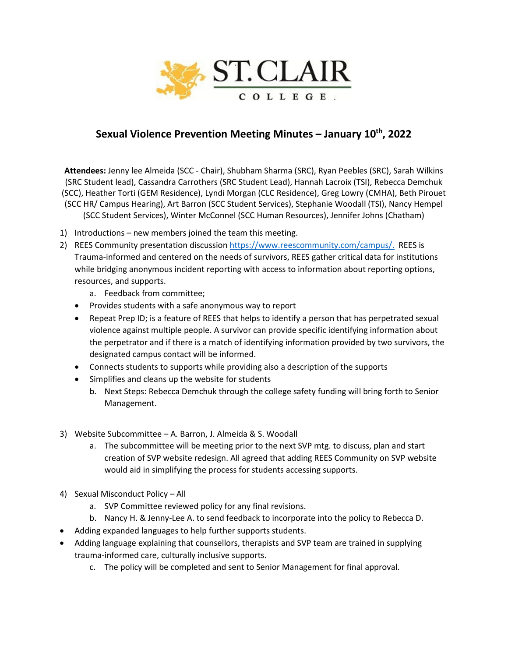

## **Sexual Violence Prevention Meeting Minutes – January 10th, 2022**

**Attendees:** Jenny lee Almeida (SCC - Chair), Shubham Sharma (SRC), Ryan Peebles (SRC), Sarah Wilkins (SRC Student lead), Cassandra Carrothers (SRC Student Lead), Hannah Lacroix (TSI), Rebecca Demchuk (SCC), Heather Torti (GEM Residence), Lyndi Morgan (CLC Residence), Greg Lowry (CMHA), Beth Pirouet (SCC HR/ Campus Hearing), Art Barron (SCC Student Services), Stephanie Woodall (TSI), Nancy Hempel

(SCC Student Services), Winter McConnel (SCC Human Resources), Jennifer Johns (Chatham)

- 1) Introductions new members joined the team this meeting.
- 2) REES Community presentation discussion [https://www.reescommunity.com/campus/.](https://www.reescommunity.com/campus/) REES is Trauma-informed and centered on the needs of survivors, REES gather critical data for institutions while bridging anonymous incident reporting with access to information about reporting options, resources, and supports.
	- a. Feedback from committee;
	- Provides students with a safe anonymous way to report
	- Repeat Prep ID; is a feature of REES that helps to identify a person that has perpetrated sexual violence against multiple people. A survivor can provide specific identifying information about the perpetrator and if there is a match of identifying information provided by two survivors, the designated campus contact will be informed.
	- Connects students to supports while providing also a description of the supports
	- Simplifies and cleans up the website for students
		- b. Next Steps: Rebecca Demchuk through the college safety funding will bring forth to Senior Management.
- 3) Website Subcommittee A. Barron, J. Almeida & S. Woodall
	- a. The subcommittee will be meeting prior to the next SVP mtg. to discuss, plan and start creation of SVP website redesign. All agreed that adding REES Community on SVP website would aid in simplifying the process for students accessing supports.
- 4) Sexual Misconduct Policy All
	- a. SVP Committee reviewed policy for any final revisions.
	- b. Nancy H. & Jenny-Lee A. to send feedback to incorporate into the policy to Rebecca D.
- Adding expanded languages to help further supports students.
- Adding language explaining that counsellors, therapists and SVP team are trained in supplying trauma-informed care, culturally inclusive supports.
	- c. The policy will be completed and sent to Senior Management for final approval.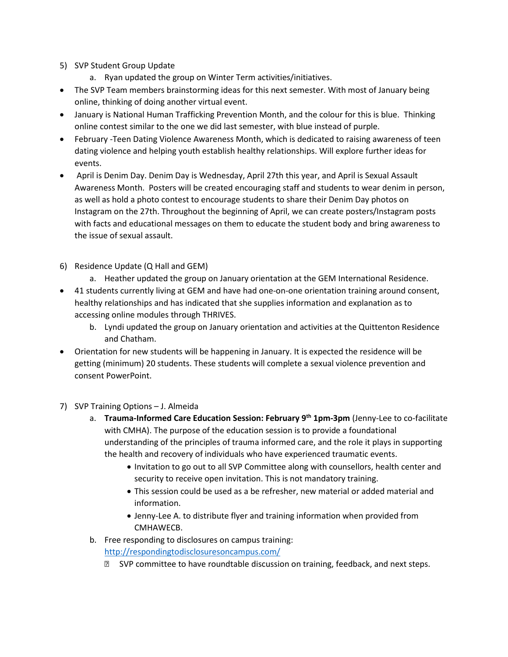## 5) SVP Student Group Update

- a. Ryan updated the group on Winter Term activities/initiatives.
- The SVP Team members brainstorming ideas for this next semester. With most of January being online, thinking of doing another virtual event.
- January is National Human Trafficking Prevention Month, and the colour for this is blue. Thinking online contest similar to the one we did last semester, with blue instead of purple.
- February -Teen Dating Violence Awareness Month, which is dedicated to raising awareness of teen dating violence and helping youth establish healthy relationships. Will explore further ideas for events.
- April is Denim Day. Denim Day is Wednesday, April 27th this year, and April is Sexual Assault Awareness Month. Posters will be created encouraging staff and students to wear denim in person, as well as hold a photo contest to encourage students to share their Denim Day photos on Instagram on the 27th. Throughout the beginning of April, we can create posters/Instagram posts with facts and educational messages on them to educate the student body and bring awareness to the issue of sexual assault.
- 6) Residence Update (Q Hall and GEM)
	- a. Heather updated the group on January orientation at the GEM International Residence.
- 41 students currently living at GEM and have had one-on-one orientation training around consent, healthy relationships and has indicated that she supplies information and explanation as to accessing online modules through THRIVES.
	- b. Lyndi updated the group on January orientation and activities at the Quittenton Residence and Chatham.
- Orientation for new students will be happening in January. It is expected the residence will be getting (minimum) 20 students. These students will complete a sexual violence prevention and consent PowerPoint.
- 7) SVP Training Options J. Almeida
	- a. **Trauma-Informed Care Education Session: February 9th 1pm-3pm** (Jenny-Lee to co-facilitate with CMHA). The purpose of the education session is to provide a foundational understanding of the principles of trauma informed care, and the role it plays in supporting the health and recovery of individuals who have experienced traumatic events.
		- Invitation to go out to all SVP Committee along with counsellors, health center and security to receive open invitation. This is not mandatory training.
		- This session could be used as a be refresher, new material or added material and information.
		- Jenny-Lee A. to distribute flyer and training information when provided from CMHAWECB.
	- b. Free responding to disclosures on campus training:

<http://respondingtodisclosuresoncampus.com/>

**EXP** committee to have roundtable discussion on training, feedback, and next steps.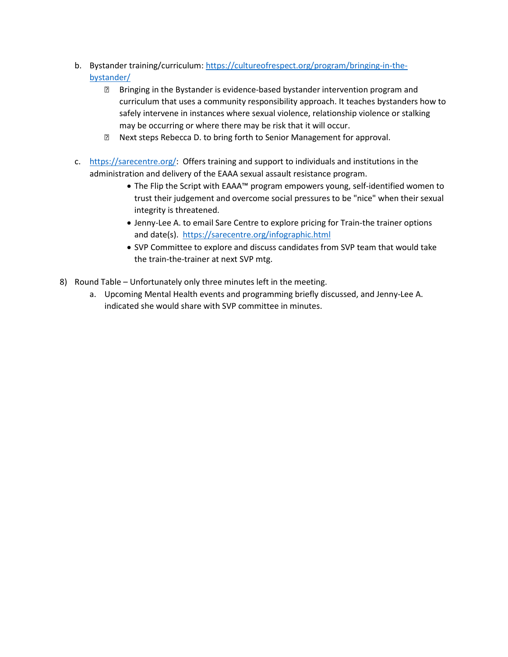- b. Bystander training/curriculum: [https://cultureofrespect.org/program/bringing-in-the](https://cultureofrespect.org/program/bringing-in-the-bystander/)[bystander/](https://cultureofrespect.org/program/bringing-in-the-bystander/)
	- Bringing in the Bystander is evidence-based bystander intervention program and curriculum that uses a community responsibility approach. It teaches bystanders how to safely intervene in instances where sexual violence, relationship violence or stalking may be occurring or where there may be risk that it will occur.
	- Next steps Rebecca D. to bring forth to Senior Management for approval.
- c. [https://sarecentre.org/:](https://sarecentre.org/) Offers training and support to individuals and institutions in the administration and delivery of the EAAA sexual assault resistance program.
	- The Flip the Script with EAAA™ program empowers young, self-identified women to trust their judgement and overcome social pressures to be "nice" when their sexual integrity is threatened.
	- Jenny-Lee A. to email Sare Centre to explore pricing for Train-the trainer options and date(s). <https://sarecentre.org/infographic.html>
	- SVP Committee to explore and discuss candidates from SVP team that would take the train-the-trainer at next SVP mtg.
- 8) Round Table Unfortunately only three minutes left in the meeting.
	- a. Upcoming Mental Health events and programming briefly discussed, and Jenny-Lee A. indicated she would share with SVP committee in minutes.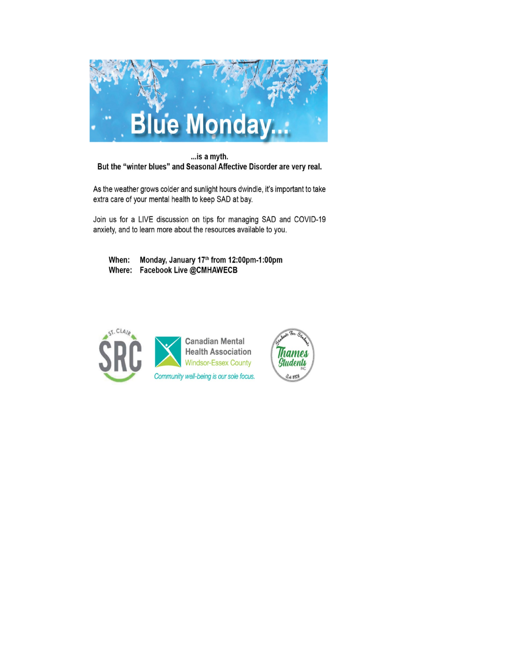

... is a myth. But the "winter blues" and Seasonal Affective Disorder are very real.

As the weather grows colder and sunlight hours dwindle, it's important to take extra care of your mental health to keep SAD at bay.

Join us for a LIVE discussion on tips for managing SAD and COVID-19 anxiety, and to learn more about the resources available to you.

hames

Students

24 1978

Monday, January 17th from 12:00pm-1:00pm When: Where: Facebook Live @CMHAWECB

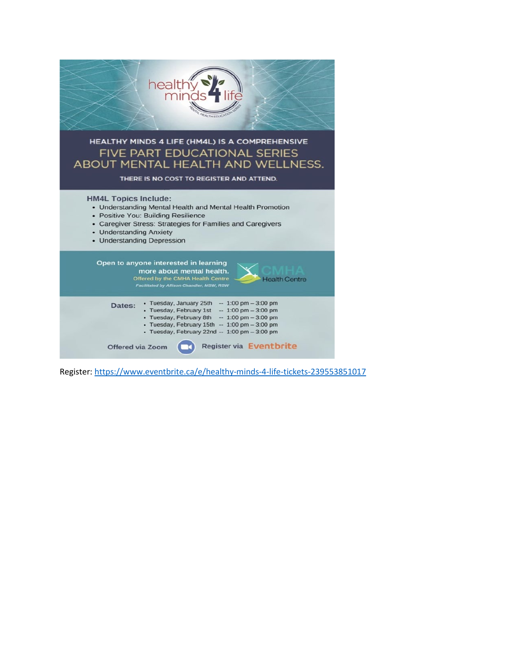

Register:<https://www.eventbrite.ca/e/healthy-minds-4-life-tickets-239553851017>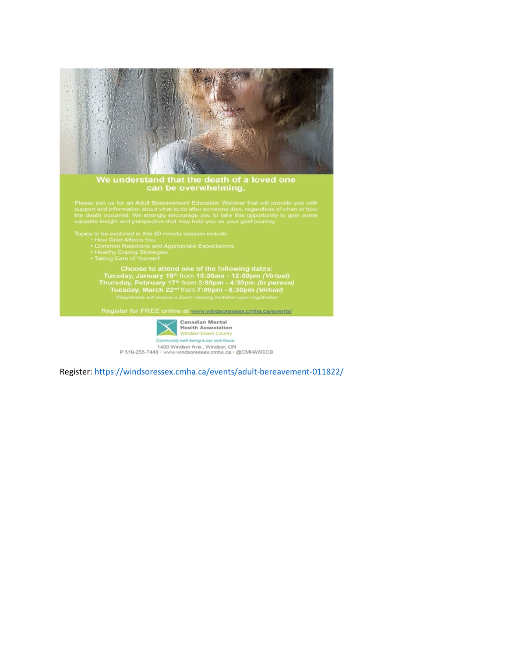

Choose to attend one of the following dates:<br>Tuesday, January 18<sup>th</sup> from 10:30am - 12:00pm (*Virtual)*<br>Thursday, February 17<sup>th</sup> from 3:00pm - 4:30pm (*In person)*<br>Tuesday, March 22<sup>nd</sup> from 7:00pm - 8:30pm (*Virtual)*<br>"R

Register for FREE online at www.windsoressex.cmha.ca/events/



Register:<https://windsoressex.cmha.ca/events/adult-bereavement-011822/>